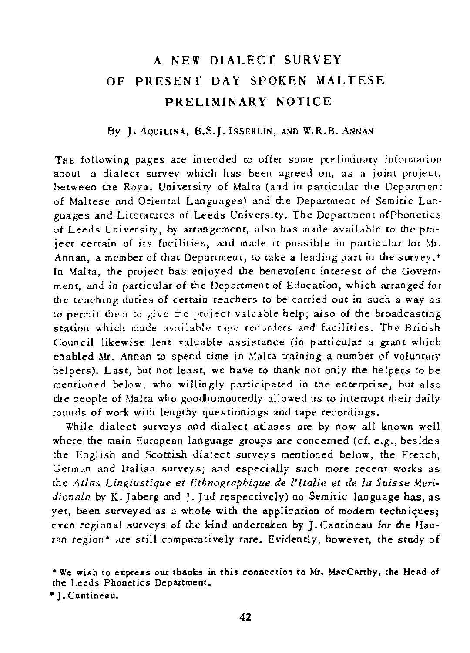## A NEW DIALECT SURVEY OF PRESENT DAY SPOKEN MALTESE PRELIMINARY NOTICE

## *By* J. AQUILINA, 8.S.). !SSERLIN, AND W.R.B. ANNAN

THE following pages are intended to offer some preliminary information about a dialect survey which has been agreed on, as a joint project, between the Royal University of Malta (and in particular the Department of Maltese and Oriental Languages) and the Department of Semitic Languages and Literatures of Leeds University. The Department ofPhonetics of Leeds University, by arrangement, also has made available to the project certain of its facilities, and made it possible in particular for Mr. Annan, a member of chat Deparrment, to take a leading part in the survey.\* In Malta, the project has enjoyed the benevolent interest of the Government, and in particular of the Department of Education, which arranged for the teaching duties of certain teachers to be carried out in such a way as to permir them to give the rfoject valuable help; also of the broadcasting station which made available tape recorders and facilities. The British Council likewise lent valuable assistance (in particular a grant which enabled Mr. Annan to spend time in Malta training a number of voluntary helpers). Last, but not least, we have to thank not only the helpers to be mentioned below, who willingly participated in the enterprise, but also the people of \13lta who goodhumouredly allowed us to interrupt their daily rounds of work with lengthy questionings and tape recordings.

While dialect surveys and dialect atlases are by now all known well where the main European language groups are concerned (cf. e.g., besides the English and Scottish dialect surveys mentioned below, the French, German and Italian surveys; and especially such more recent works as the *Atlas Lingiustique et Ethnographique de ['ltalie et de la Suisse Meridionale* by K. Jaberg and J. Jud respectively) no Semitic language has, as yet, been surveyed as a whole with the application of modem techniques; even regional surveys of the kind undertaken by J. Cantineau for the Hauran region\* are still comparatively rare. Evidently, bowever, the study of

• 1. Cantineau.

<sup>•</sup> We wish to express our thanks in this connection to Mr. MacCarthy, the Head of the Leeds Phonetics Department.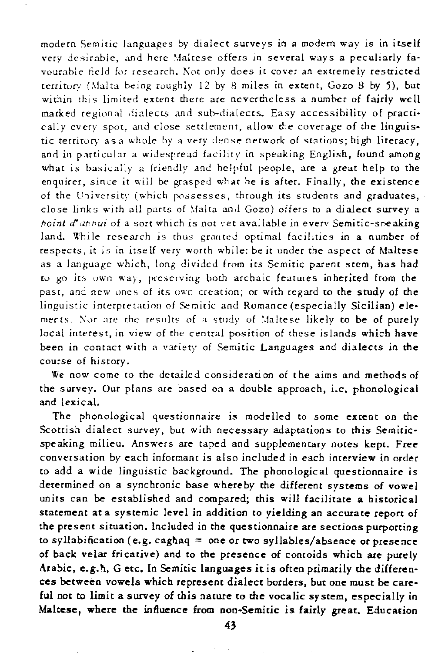modern Semitic languages by dialect surveys in a modern way is in itself very desirable, and here Maltese offers in several ways a peculiarly favourable field for research. Not only does it cover an extremely restricted territory (Malta being roughly  $12$  by 8 miles in extent, Gozo 8 by 5), but within this limited extent there are nevertheless a number of fairly well marked regional dialects and sub-dialects. Easy accessibility of practically every spot, and close settlement, allow the coverage of the linguistic territory as a whole by a very dense network of stations; high literacy, and in particular a widespread facility in speaking English, found among what is basically a friendly and helpful people, are a great help to the enquirer, since it will be grasped what he is after. Finally, the existence of the University (which possesses, through its students and graduates, close links with all parts of Malta and Gozo) offers to a dialect survey a *point d'aphui* of a sort which is not vet available in every Semitic-speaking land. While research is thus granted optimal facilities in a number of respects, it is in itself very worch while: beir under the aspect of Maltese as a language which, long divided from its Semitic parent stem, has had to go its own way, preserving both archaic features inherited from the past, and new ones of its own creation; or with regard to the study of the linguistic interpretation of Semitic and Romance (especially Sicilian) elements. Nor are the results of a study of Maltese likely to be of purely local interest, in view of the central position of these islands which have been in contact with a variety of Semitic Languages and dialects in the course of history.

We now come to the detailed consideration of the aims and methods of the survey. Our plans are based on a double approach, i.e. phonological and lexical.

The phonological questionnaire is modelled to some extent on the Scottish dialect survey, but with necessary adaptations to this Semiticspeaking milieu. Answers are caped and supplementary notes kept. Free conversation by each informant is also included in each interview in order to add a wide linguistic background. The phonological questionnaire is determined on a syncbronic base whereby the different systems of vowel units can be established and compared; this will facilitate a historical statement at a systemic level in addition to yielding an accurate report of the present situation. Included in the questionnaire are sections purporting to syllabification (e.g. caghaq = one or two syllables/absence or presence of back velar fricative) and to the presence of concoids which are purely Arabic, e.g. h, G etc. In Semitic languages it is often primarily the differences between vowels which represent dialect borders, but one must be careful not to limit a survey of this nature to *the* vocalic system, especially in Maltese, where the influence from non-Semitic is fairly great. Education

43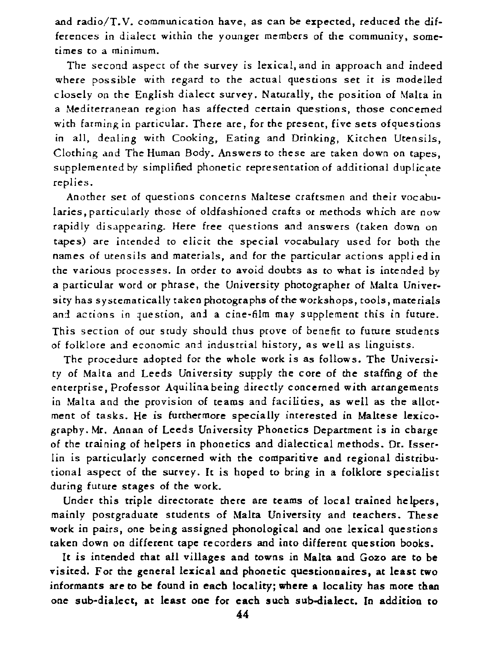and  $radio/T.V.$  communication have, as can be expected, reduced the differences in dialect within the younger members of the community, sometimes to a minimum.

The second aspect of the survey is lexical, and in approach and indeed where possible with regard to the actual questions set it is modelled closely on the English dialect survey. Naturally, the position of Malta in a Mediterranean region has affected certain questions, those concerned with farming in particular. There are, for the present, five sets of questions in all, dealing with Cooking, Eating and Drinking, Kitchen Utensils, Clothing and The Human Body. Answers to these are taken down on tapes, supplemented by simplified phonetic representation of additional duplicate replies. The contract of the contract of the contract of the contract of the contract of the contract of the contract of the contract of the contract of the contract of the contract of the contract of the contract of the c

Another set of questions concerns Maltese craftsmen and their vocabularies, particularly chose of oldfashioned crafts or methods which are now rapidly disappearing. Here free questions and answers (taken down on tapes) are intended to elicit the special vocabulary used for both the names of utensils and materials, and for the particular actions appli ed in che various processes. [n order to avoid doubts as to what is intended by a particular word or phrase, the University photographer of Malta University has systemacically taken photographs of the workshops, tools, materials and actions in question, and a cine-film may supplement this in future. This section of our study should thus prove of benefit to future students of folklore and economic and industrial history, as well as linguists.

The procedure adopted for the whole work is as follows. The University of Malta and Leeds University supply the core of the staffing of the enterprise. Professor Aquilina being directly concerned with arrangements in Malta and the provision of teams and facilities, as well as the allotment of tasks. He is furthermore specially interested in Maltese lexicography. Mr. Annan of Leeds University Phonetics Department is in cbarge of the training of helpers in phonetics and dialectical methods. Dr. [sserlin is particularly concerned with the comparitive and regional distributional aspect of the sucvey. It is hoped to bring in a folklore specialist during future stages of the work.

Under this triple directorate there are teams of local trained helpers, mainly postgraduate students of Malta University and teachers. These work in pairs, one being assigned phonological and one lexical questions taken down on different tape recorders and into different question books.

It is intended that all villages and towns in Malta and Gozo are to be visited. For the general lexical and phonetic questionnaires, at least two informants are to be found in each locality; where a locality has more than one sul>-dialect, at least one for each such sub-dialect. In addition to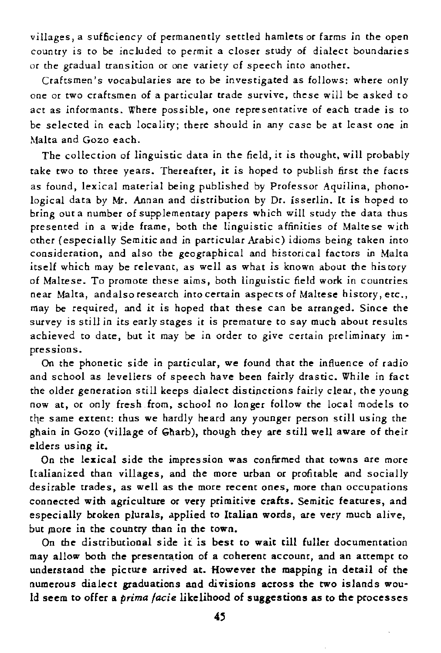villages, a sufficiency of permanently settled hamlets or farms in the open country is to be included to permit a closer study of dialect boundaries or the gradual transition or one variety of speech into another.

Craftsmen's vocabularies are to be investigated as follows: where only one or two craftsmen of a particular trade survive, these will be asked to act as informants. Where possible, one representative of each trade is to be selected in each localiry; there should in any case be at least one in Malta and Gozo each.

The collection of linguistic data in the field, it is thought, will probably take two to three years. Thereafter, it is hoped to publish first the facts as found, lexical material being published by Professor Aquilina, phono· logical data *by* Mr. Annan and distribution by Dr. isserlin. *lt* is hoped to bring out a number of supplementary papers which will study the data thus presented in a wide frame, both the linguistic affinities of Maltese with other (especially Semitic and in particular Arabic) idioms being taken into consideration, and also the geographical and historical factors in Malta itself which may be relevant, as well as what is known about the history of Maltese. To promote these aims, both linguistic field work in countries near Malta, and also research into certain aspec ts of Maltese history, *etc.,*  may be required, and it is hoped that these can be arranged. Since the survey is still in its early stages it is premature to say much about results achieved to date, but it may be in order to give certain preliminary impressions.

On the phonetic side in particular, we found that the influence of radio and school as levellers of speech have been fairly drastic. While in fact the older generation still keeps dialect distinctions fairly clear, the young now at, or only fresh from, school no longer follow the local models to the same extent: thus we hardly heard any younger person still using the ghain in Gozo (village of Gharb), though they are still well aware of their elders using it.

On the lexical side the impression was confirmed that towns arc more [talianized than villages, and the more urban or profitable and socially desirable uades, as well as the more recent ones, more than occupations connected with agriculture or very primitive crafts. Semitic features, and especially broken plurals, applied to Italian words, are very mucb alive, but more in the country than in the town.

On the distributional side it is best to wait till fuller documentation may allow both the presentation of a coherent account, and an attempt to understand the picture arrived at. However the mapping in detail of the numerous dialect graduations aad divisions across the two islands wou· Id seem to offer a *prima facie* likelihood of suggestions as to the processes

45